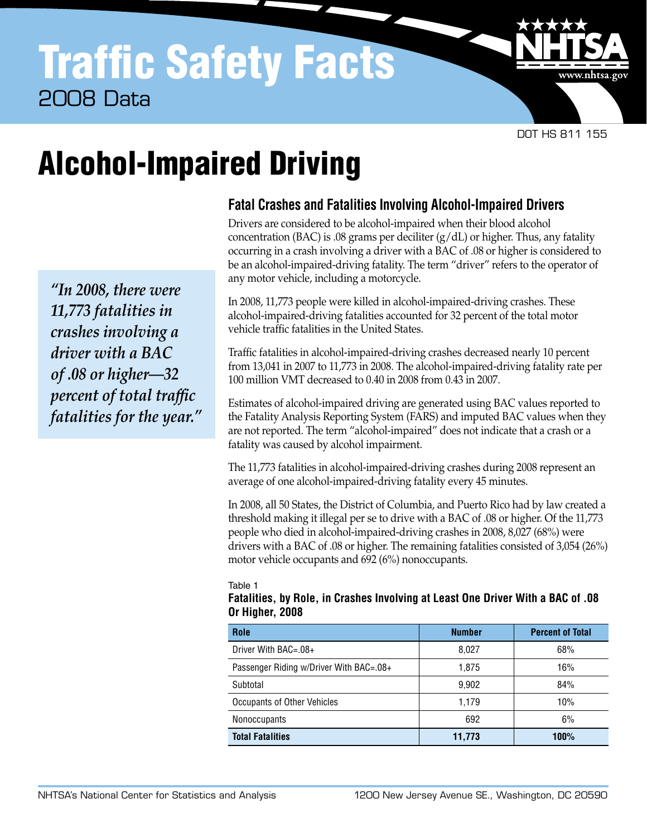# Traffic Safety Facts 2008 Data

DOT HS 811 155

www.nhtsa.go

# Alcohol-Impaired Driving

*"In 2008, there were 11,773 fatalities in crashes involving a driver with a BAC of .08 or higher—32 percent of total traffic fatalities for the year."*

# **Fatal Crashes and Fatalities Involving Alcohol-Impaired Drivers**

Drivers are considered to be alcohol-impaired when their blood alcohol concentration (BAC) is .08 grams per deciliter  $(g/dL)$  or higher. Thus, any fatality occurring in a crash involving a driver with a BAC of .08 or higher is considered to be an alcohol-impaired-driving fatality. The term "driver" refers to the operator of any motor vehicle, including a motorcycle.

In 2008, 11,773 people were killed in alcohol-impaired-driving crashes. These alcohol-impaired-driving fatalities accounted for 32 percent of the total motor vehicle traffic fatalities in the United States.

Traffic fatalities in alcohol-impaired-driving crashes decreased nearly 10 percent from 13,041 in 2007 to 11,773 in 2008. The alcohol-impaired-driving fatality rate per 100 million VMT decreased to 0.40 in 2008 from 0.43 in 2007.

Estimates of alcohol-impaired driving are generated using BAC values reported to the Fatality Analysis Reporting System (FARS) and imputed BAC values when they are not reported. The term "alcohol-impaired" does not indicate that a crash or a fatality was caused by alcohol impairment.

The 11,773 fatalities in alcohol-impaired-driving crashes during 2008 represent an average of one alcohol-impaired-driving fatality every 45 minutes.

In 2008, all 50 States, the District of Columbia, and Puerto Rico had by law created a threshold making it illegal per se to drive with a BAC of .08 or higher. Of the 11,773 people who died in alcohol-impaired-driving crashes in 2008, 8,027 (68%) were drivers with a BAC of .08 or higher. The remaining fatalities consisted of 3,054 (26%) motor vehicle occupants and 692 (6%) nonoccupants.

Table 1

## **Fatalities, by Role, in Crashes Involving at Least One Driver With a BAC of .08 Or Higher, 2008**

| Role                                    | <b>Number</b> | <b>Percent of Total</b> |  |  |
|-----------------------------------------|---------------|-------------------------|--|--|
| Driver With BAC=.08+                    | 8.027         | 68%                     |  |  |
| Passenger Riding w/Driver With BAC=.08+ | 1.875         | 16%                     |  |  |
| Subtotal                                | 9,902         | 84%                     |  |  |
| Occupants of Other Vehicles             | 1.179         | 10%                     |  |  |
| <b>Nonoccupants</b>                     | 692           | 6%                      |  |  |
| <b>Total Fatalities</b>                 | 11,773        | 100%                    |  |  |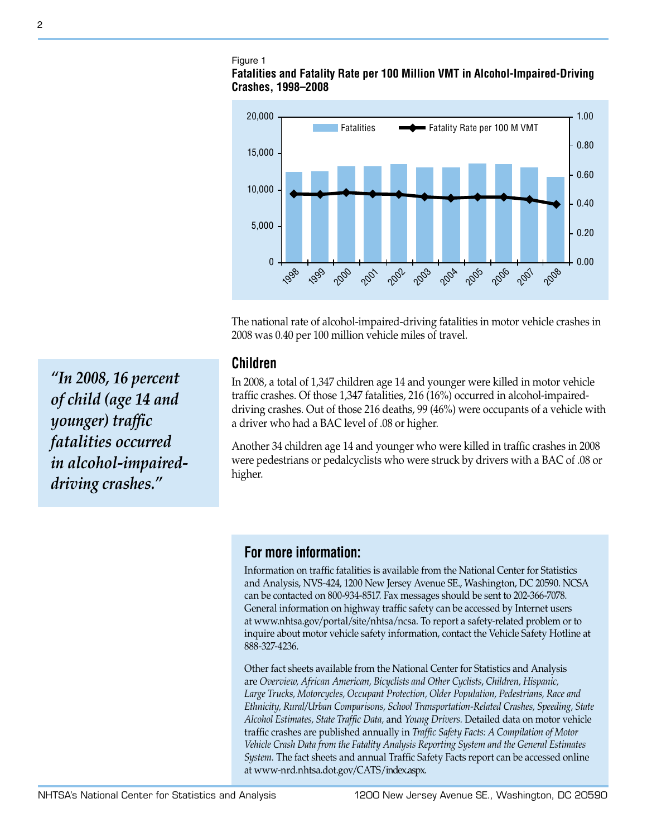# Figure 1

## **Fatalities and Fatality Rate per 100 Million VMT in Alcohol-Impaired-Driving Crashes, 1998–2008**



The national rate of alcohol-impaired-driving fatalities in motor vehicle crashes in 2008 was 0.40 per 100 million vehicle miles of travel.

## **Children**

In 2008, a total of 1,347 children age 14 and younger were killed in motor vehicle traffic crashes. Of those 1,347 fatalities, 216 (16%) occurred in alcohol-impaireddriving crashes. Out of those 216 deaths, 99 (46%) were occupants of a vehicle with a driver who had a BAC level of .08 or higher.

Another 34 children age 14 and younger who were killed in traffic crashes in 2008 were pedestrians or pedalcyclists who were struck by drivers with a BAC of .08 or higher.

# **For more information:**

Information on traffic fatalities is available from the National Center for Statistics and Analysis, NVS-424, 1200 New Jersey Avenue SE., Washington, DC 20590. NCSA can be contacted on 800-934-8517. Fax messages should be sent to 202-366-7078. General information on highway traffic safety can be accessed by Internet users at [www.nhtsa.gov/portal/site/nhtsa/ncsa.](http://www.nhtsa.gov/portal/site/nhtsa/ncsa) To report a safety-related problem or to inquire about motor vehicle safety information, contact the Vehicle Safety Hotline at 888-327-4236.

Other fact sheets available from the National Center for Statistics and Analysis are *Overview, African American, Bicyclists and Other Cyclists*, *Children, Hispanic, Large Trucks, Motorcycles, Occupant Protection, Older Population, Pedestrians, Race and Ethnicity, Rural/Urban Comparisons, School Transportation-Related Crashes, Speeding, State Alcohol Estimates, State Traffic Data,* and *Young Drivers.* Detailed data on motor vehicle traffic crashes are published annually in *Traffic Safety Facts: A Compilation of Motor Vehicle Crash Data from the Fatality Analysis Reporting System and the General Estimates System.* The fact sheets and annual Traffic Safety Facts report can be accessed online at [www-nrd.nhtsa.dot.gov/C](http://www-nrd.nhtsa.dot.gov/CMSWeb/index.aspx)ATS/index.aspx.

*"In 2008, 16 percent of child (age 14 and younger) traffic fatalities occurred in alcohol-impaireddriving crashes."*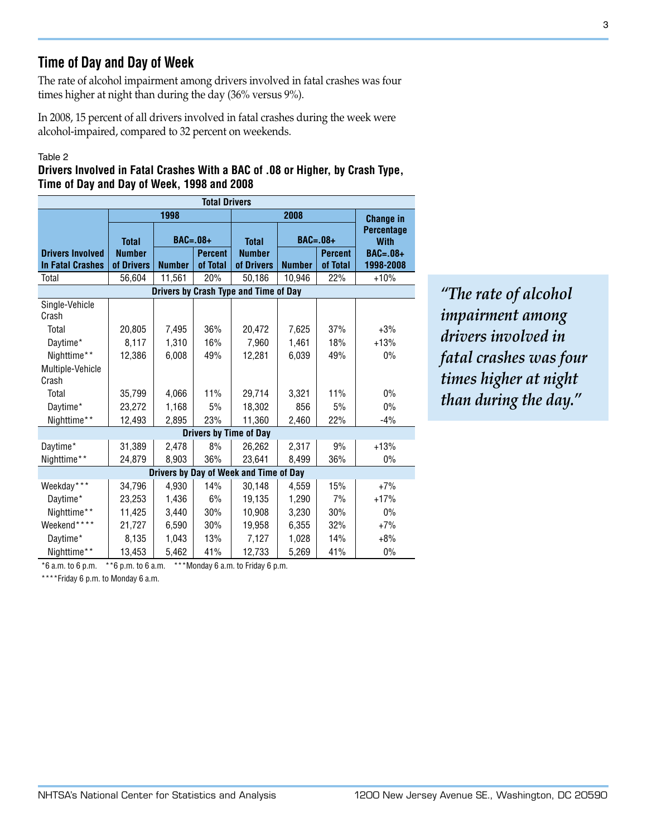# **Time of Day and Day of Week**

The rate of alcohol impairment among drivers involved in fatal crashes was four times higher at night than during the day (36% versus 9%).

In 2008, 15 percent of all drivers involved in fatal crashes during the week were alcohol-impaired, compared to 32 percent on weekends.

### Table 2

## **Drivers Involved in Fatal Crashes With a BAC of .08 or Higher, by Crash Type, Time of Day and Day of Week, 1998 and 2008**

| <b>Total Drivers</b>                   |               |                |          |                                       |                  |                |                                  |  |  |
|----------------------------------------|---------------|----------------|----------|---------------------------------------|------------------|----------------|----------------------------------|--|--|
|                                        |               | 1998           |          |                                       | <b>Change in</b> |                |                                  |  |  |
|                                        | <b>Total</b>  | $BAC = .08 +$  |          | <b>Total</b>                          |                  | $BAC=.08+$     | <b>Percentage</b><br><b>With</b> |  |  |
| <b>Drivers Involved</b>                | <b>Number</b> | <b>Percent</b> |          | <b>Number</b>                         |                  | <b>Percent</b> | <b>BAC=.08+</b>                  |  |  |
| <b>In Fatal Crashes</b>                | of Drivers    | <b>Number</b>  | of Total | of Drivers                            | <b>Number</b>    | of Total       | 1998-2008                        |  |  |
| Total                                  | 56,604        | 11,561         | 20%      | 50,186                                | 10,946           | 22%            | $+10%$                           |  |  |
|                                        |               |                |          | Drivers by Crash Type and Time of Day |                  |                |                                  |  |  |
| Single-Vehicle<br>Crash                |               |                |          |                                       |                  |                |                                  |  |  |
| Total                                  | 20,805        | 7,495          | 36%      | 20,472                                | 7,625            | 37%            | $+3%$                            |  |  |
| Daytime*                               | 8,117         | 1,310          | 16%      | 7,960                                 | 1,461            | 18%            | $+13%$                           |  |  |
| Nighttime**                            | 12,386        | 6,008          | 49%      | 12,281                                | 6,039            | 49%            | 0%                               |  |  |
| Multiple-Vehicle                       |               |                |          |                                       |                  |                |                                  |  |  |
| Crash                                  |               |                |          |                                       |                  |                |                                  |  |  |
| Total                                  | 35,799        | 4,066          | 11%      | 29,714                                | 3,321            | 11%            | 0%                               |  |  |
| Daytime*                               | 23,272        | 1,168          | 5%       | 18,302                                | 856              | 5%             | 0%                               |  |  |
| Nighttime**                            | 12,493        | 2,895          | 23%      | 11,360                                | 2,460            | 22%            | $-4%$                            |  |  |
|                                        |               |                |          | <b>Drivers by Time of Day</b>         |                  |                |                                  |  |  |
| Daytime*                               | 31,389        | 2,478          | 8%       | 26,262                                | 2,317            | 9%             | $+13%$                           |  |  |
| Nighttime**                            | 24,879        | 8,903          | 36%      | 23,641                                | 8,499            | 36%            | 0%                               |  |  |
| Drivers by Day of Week and Time of Day |               |                |          |                                       |                  |                |                                  |  |  |
| Weekday***                             | 34,796        | 4,930          | 14%      | 30,148                                | 4,559            | 15%            | $+7%$                            |  |  |
| Daytime*                               | 23,253        | 1,436          | 6%       | 19,135                                | 1,290            | 7%             | $+17%$                           |  |  |
| Nighttime**                            | 11,425        | 3,440          | 30%      | 10,908                                | 3,230            | 30%            | 0%                               |  |  |
| Weekend****                            | 21,727        | 6,590          | 30%      | 19,958                                | 6,355            | 32%            | $+7%$                            |  |  |
| Daytime*                               | 8,135         | 1,043          | 13%      | 7,127                                 | 1,028            | 14%            | $+8%$                            |  |  |
| Nighttime**                            | 13,453        | 5,462          | 41%      | 12,733                                | 5,269            | 41%            | 0%                               |  |  |

 $*6$  a.m. to 6 p.m.  $*6$  p.m. to 6 a.m.  $***$ Monday 6 a.m. to Friday 6 p.m.

\*\*\*\*Friday 6 p.m. to Monday 6 a.m.

*"The rate of alcohol impairment among drivers involved in fatal crashes was four times higher at night than during the day."*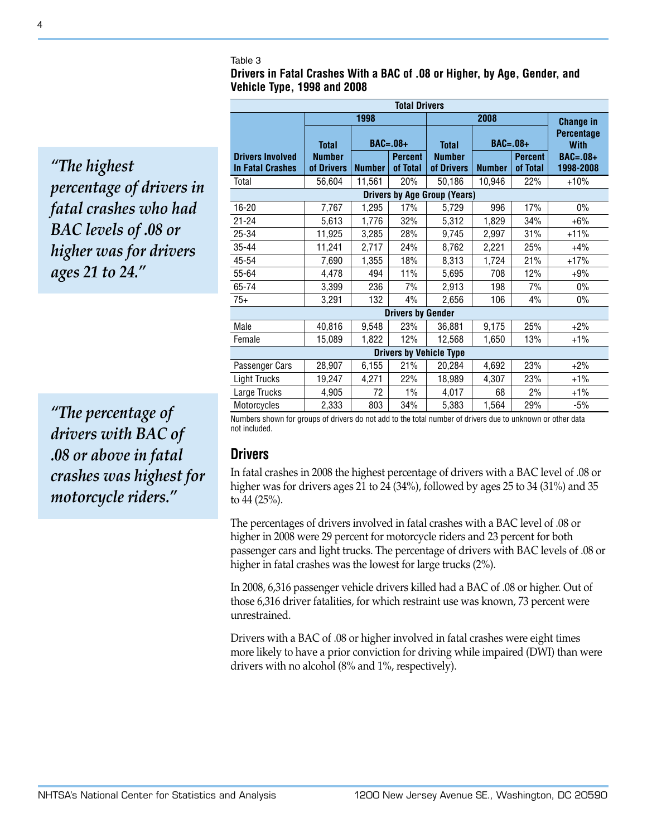#### Table 3

**Drivers in Fatal Crashes With a BAC of .08 or Higher, by Age, Gender, and Vehicle Type, 1998 and 2008**

*"The highest percentage of drivers in fatal crashes who had BAC levels of .08 or higher was for drivers ages 21 to 24."*

*"The percentage of drivers with BAC of .08 or above in fatal crashes was highest for motorcycle riders."*

| <b>Total Drivers</b>                               |                             |               |                            |                             |                  |                            |                                                             |  |  |
|----------------------------------------------------|-----------------------------|---------------|----------------------------|-----------------------------|------------------|----------------------------|-------------------------------------------------------------|--|--|
|                                                    |                             | 1998          |                            |                             | <b>Change in</b> |                            |                                                             |  |  |
|                                                    | <b>Total</b>                |               | $BAC = .08 +$              | <b>Total</b>                | $BAC=.08+$       |                            | <b>Percentage</b><br><b>With</b><br>$BAC=.08+$<br>1998-2008 |  |  |
| <b>Drivers Involved</b><br><b>In Fatal Crashes</b> | <b>Number</b><br>of Drivers | <b>Number</b> | <b>Percent</b><br>of Total | <b>Number</b><br>of Drivers | <b>Number</b>    | <b>Percent</b><br>of Total |                                                             |  |  |
| Total                                              | 56,604                      | 11,561        | 20%                        | 50,186                      | 10,946           | 22%                        | $+10%$                                                      |  |  |
| <b>Drivers by Age Group (Years)</b>                |                             |               |                            |                             |                  |                            |                                                             |  |  |
| 16-20                                              | 7,767                       | 1,295         | 17%                        | 5,729                       | 996              | 17%                        | $0\%$                                                       |  |  |
| $21 - 24$                                          | 5,613                       | 1,776         | 32%                        | 5,312                       | 1,829            | 34%                        | $+6%$                                                       |  |  |
| 25-34                                              | 11,925                      | 3,285         | 28%                        | 9,745                       | 2,997            | 31%                        | $+11%$                                                      |  |  |
| 35-44                                              | 11,241                      | 2,717         | 24%                        | 8,762                       | 2,221            | 25%                        | $+4%$                                                       |  |  |
| 45-54                                              | 7,690                       | 1,355         | 18%                        | 8,313                       | 1,724            | 21%                        | $+17%$                                                      |  |  |
| 55-64                                              | 4,478                       | 494           | 11%                        | 5,695                       | 708              | 12%                        | $+9%$                                                       |  |  |
| 65-74                                              | 3,399                       | 236           | 7%                         | 2,913                       | 198              | 7%                         | $0\%$                                                       |  |  |
| $75+$                                              | 3,291                       | 132           | 4%                         | 2,656                       | 106              | 4%                         | $0\%$                                                       |  |  |
| <b>Drivers by Gender</b>                           |                             |               |                            |                             |                  |                            |                                                             |  |  |
| Male                                               | 40,816                      | 9,548         | 23%                        | 36,881                      | 9,175            | 25%                        | $+2%$                                                       |  |  |
| Female                                             | 15,089                      | 1,822         | 12%                        | 12,568                      | 1,650            | 13%                        | $+1\%$                                                      |  |  |
| <b>Drivers by Vehicle Type</b>                     |                             |               |                            |                             |                  |                            |                                                             |  |  |
| Passenger Cars                                     | 28,907                      | 6,155         | 21%                        | 20,284                      | 4,692            | 23%                        | $+2%$                                                       |  |  |
| <b>Light Trucks</b>                                | 19,247                      | 4,271         | 22%                        | 18,989                      | 4,307            | 23%                        | +1%                                                         |  |  |
| Large Trucks                                       | 4,905                       | 72            | 1%                         | 4,017                       | 68               | 2%                         | $+1\%$                                                      |  |  |
| Motorcycles                                        | 2,333                       | 803           | 34%                        | 5,383                       | 1,564            | 29%                        | $-5%$                                                       |  |  |

Numbers shown for groups of drivers do not add to the total number of drivers due to unknown or other data not included.

## **Drivers**

In fatal crashes in 2008 the highest percentage of drivers with a BAC level of .08 or higher was for drivers ages 21 to 24 (34%), followed by ages 25 to 34 (31%) and 35 to 44 (25%).

The percentages of drivers involved in fatal crashes with a BAC level of .08 or higher in 2008 were 29 percent for motorcycle riders and 23 percent for both passenger cars and light trucks. The percentage of drivers with BAC levels of .08 or higher in fatal crashes was the lowest for large trucks (2%).

In 2008, 6,316 passenger vehicle drivers killed had a BAC of .08 or higher. Out of those 6,316 driver fatalities, for which restraint use was known, 73 percent were unrestrained.

Drivers with a BAC of .08 or higher involved in fatal crashes were eight times more likely to have a prior conviction for driving while impaired (DWI) than were drivers with no alcohol (8% and 1%, respectively).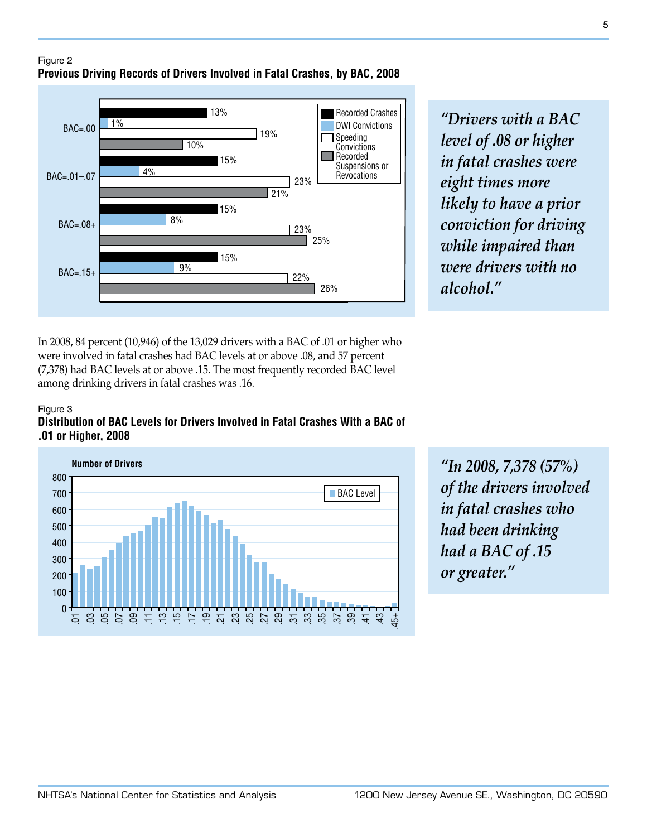

Recorded Crashes *"Drivers with a BAC level of .08 or higher in fatal crashes were eight times more likely to have a prior conviction for driving while impaired than were drivers with no alcohol."*

In 2008, 84 percent (10,946) of the 13,029 drivers with a BAC of .01 or higher who were involved in fatal crashes had BAC levels at or above .08, and 57 percent (7,378) had BAC levels at or above .15. The most frequently recorded BAC level among drinking drivers in fatal crashes was .16.

### Figure 3 **Distribution of BAC Levels for Drivers Involved in Fatal Crashes With a BAC of .01 or Higher, 2008**



*"In 2008, 7,378 (57%) of the drivers involved in fatal crashes who had been drinking had a BAC of .15 or greater."*